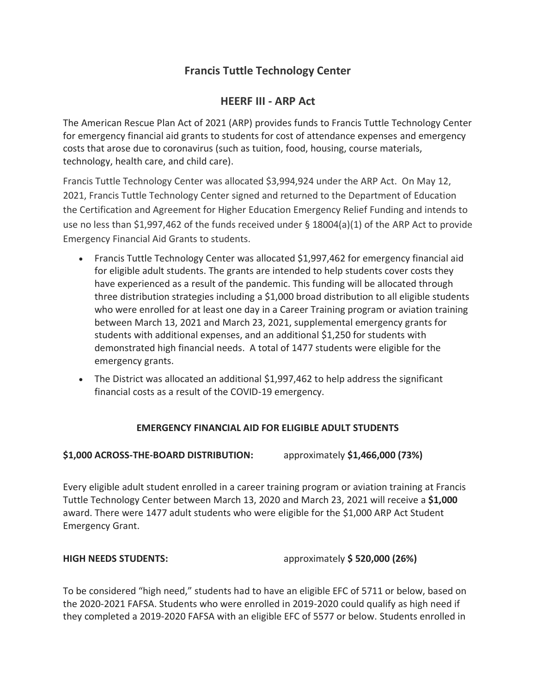# **Francis Tuttle Technology Center**

## **HEERF III - ARP Act**

The American Rescue Plan Act of 2021 (ARP) provides funds to Francis Tuttle Technology Center for emergency financial aid grants to students for cost of attendance expenses and emergency costs that arose due to coronavirus (such as tuition, food, housing, course materials, technology, health care, and child care).

Francis Tuttle Technology Center was allocated \$3,994,924 under the ARP Act. On May 12, 2021, Francis Tuttle Technology Center signed and returned to the Department of Education the Certification and Agreement for Higher Education Emergency Relief Funding and intends to use no less than \$1,997,462 of the funds received under § 18004(a)(1) of the ARP Act to provide Emergency Financial Aid Grants to students.

- Francis Tuttle Technology Center was allocated \$1,997,462 for emergency financial aid for eligible adult students. The grants are intended to help students cover costs they have experienced as a result of the pandemic. This funding will be allocated through three distribution strategies including a \$1,000 broad distribution to all eligible students who were enrolled for at least one day in a Career Training program or aviation training between March 13, 2021 and March 23, 2021, supplemental emergency grants for students with additional expenses, and an additional \$1,250 for students with demonstrated high financial needs. A total of 1477 students were eligible for the emergency grants.
- The District was allocated an additional \$1,997,462 to help address the significant financial costs as a result of the COVID-19 emergency.

### **EMERGENCY FINANCIAL AID FOR ELIGIBLE ADULT STUDENTS**

### **\$1,000 ACROSS-THE-BOARD DISTRIBUTION:** approximately **\$1,466,000 (73%)**

Every eligible adult student enrolled in a career training program or aviation training at Francis Tuttle Technology Center between March 13, 2020 and March 23, 2021 will receive a **\$1,000** award. There were 1477 adult students who were eligible for the \$1,000 ARP Act Student Emergency Grant.

**HIGH NEEDS STUDENTS:** approximately **\$ 520,000 (26%)**

To be considered "high need," students had to have an eligible EFC of 5711 or below, based on the 2020-2021 FAFSA. Students who were enrolled in 2019-2020 could qualify as high need if they completed a 2019-2020 FAFSA with an eligible EFC of 5577 or below. Students enrolled in